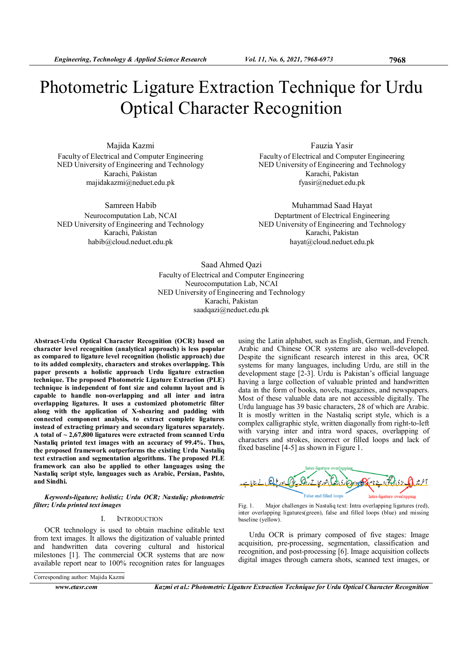# Photometric Ligature Extraction Technique for Urdu Optical Character Recognition

Majida Kazmi Faculty of Electrical and Computer Engineering NED University of Engineering and Technology Karachi, Pakistan majidakazmi@neduet.edu.pk

Samreen Habib Neurocomputation Lab, NCAI NED University of Engineering and Technology Karachi, Pakistan habib@cloud.neduet.edu.pk

Fauzia Yasir Faculty of Electrical and Computer Engineering NED University of Engineering and Technology Karachi, Pakistan fyasir@neduet.edu.pk

Muhammad Saad Hayat Deptartment of Electrical Engineering NED University of Engineering and Technology Karachi, Pakistan hayat@cloud.neduet.edu.pk

Saad Ahmed Qazi Faculty of Electrical and Computer Engineering Neurocomputation Lab, NCAI NED University of Engineering and Technology Karachi, Pakistan saadqazi@neduet.edu.pk

Abstract-Urdu Optical Character Recognition (OCR) based on character level recognition (analytical approach) is less popular as compared to ligature level recognition (holistic approach) due to its added complexity, characters and strokes overlapping. This paper presents a holistic approach Urdu ligature extraction technique. The proposed Photometric Ligature Extraction (PLE) technique is independent of font size and column layout and is capable to handle non-overlapping and all inter and intra overlapping ligatures. It uses a customized photometric filter along with the application of X-shearing and padding with connected component analysis, to extract complete ligatures instead of extracting primary and secondary ligatures separately. A total of  $\sim$  2,67,800 ligatures were extracted from scanned Urdu Nastaliq printed text images with an accuracy of 99.4%. Thus, the proposed framework outperforms the existing Urdu Nastaliq text extraction and segmentation algorithms. The proposed PLE framework can also be applied to other languages using the Nastaliq script style, languages such as Arabic, Persian, Pashto, and Sindhi.

Keywords-ligature; holistic; Urdu OCR; Nastaliq; photometric filter; Urdu printed text images

## I. INTRODUCTION

OCR technology is used to obtain machine editable text from text images. It allows the digitization of valuable printed and handwritten data covering cultural and historical milestones [1]. The commercial OCR systems that are now available report near to 100% recognition rates for languages

Corresponding author: Majida Kazmi

Arabic and Chinese OCR systems are also well-developed. Despite the significant research interest in this area, OCR systems for many languages, including Urdu, are still in the development stage [2-3]. Urdu is Pakistan's official language having a large collection of valuable printed and handwritten data in the form of books, novels, magazines, and newspapers. Most of these valuable data are not accessible digitally. The Urdu language has 39 basic characters, 28 of which are Arabic. It is mostly written in the Nastaliq script style, which is a complex calligraphic style, written diagonally from right-to-left with varying inter and intra word spaces, overlapping of characters and strokes, incorrect or filled loops and lack of fixed baseline [4-5] as shown in Figure 1.

using the Latin alphabet, such as English, German, and French.





Urdu OCR is primary composed of five stages: Image acquisition, pre-processing, segmentation, classification and recognition, and post-processing [6]. Image acquisition collects digital images through camera shots, scanned text images, or

www.etasr.com Kazmi et al.: Photometric Ligature Extraction Technique for Urdu Optical Character Recognition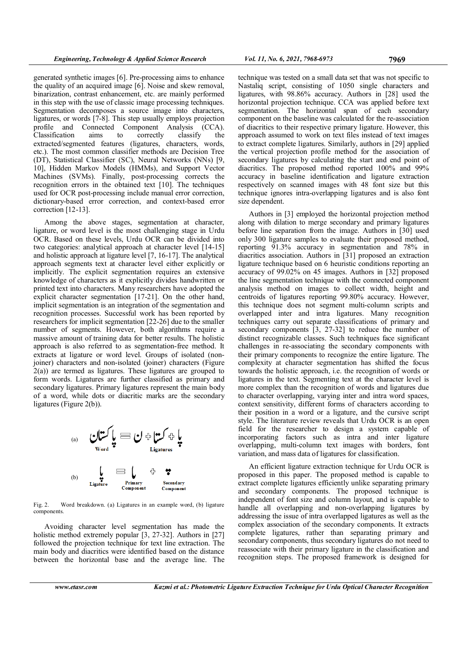generated synthetic images [6]. Pre-processing aims to enhance the quality of an acquired image [6]. Noise and skew removal, binarization, contrast enhancement, etc. are mainly performed in this step with the use of classic image processing techniques. Segmentation decomposes a source image into characters, ligatures, or words [7-8]. This step usually employs projection profile and Connected Component Analysis (CCA). Classification aims to correctly classify the extracted/segmented features (ligatures, characters, words, etc.). The most common classifier methods are Decision Tree (DT), Statistical Classifier (SC), Neural Networks (NNs) [9, 10], Hidden Markov Models (HMMs), and Support Vector Machines (SVMs). Finally, post-processing corrects the recognition errors in the obtained text [10]. The techniques used for OCR post-processing include manual error correction, dictionary-based error correction, and context-based error correction [12-13].

Among the above stages, segmentation at character, ligature, or word level is the most challenging stage in Urdu OCR. Based on these levels, Urdu OCR can be divided into two categories: analytical approach at character level [14-15] and holistic approach at ligature level [7, 16-17]. The analytical approach segments text at character level either explicitly or implicitly. The explicit segmentation requires an extensive knowledge of characters as it explicitly divides handwritten or printed text into characters. Many researchers have adopted the explicit character segmentation [17-21]. On the other hand, implicit segmentation is an integration of the segmentation and recognition processes. Successful work has been reported by researchers for implicit segmentation [22-26] due to the smaller number of segments. However, both algorithms require a massive amount of training data for better results. The holistic approach is also referred to as segmentation-free method. It extracts at ligature or word level. Groups of isolated (nonjoiner) characters and non-isolated (joiner) characters (Figure 2(a)) are termed as ligatures. These ligatures are grouped to form words. Ligatures are further classified as primary and secondary ligatures. Primary ligatures represent the main body of a word, while dots or diacritic marks are the secondary ligatures (Figure 2(b)).



Fig. 2. Word breakdown. (a) Ligatures in an example word, (b) ligature components.

Avoiding character level segmentation has made the holistic method extremely popular [3, 27-32]. Authors in [27] followed the projection technique for text line extraction. The main body and diacritics were identified based on the distance between the horizontal base and the average line. The

technique was tested on a small data set that was not specific to Nastaliq script, consisting of 1050 single characters and ligatures, with 98.86% accuracy. Authors in [28] used the horizontal projection technique. CCA was applied before text segmentation. The horizontal span of each secondary component on the baseline was calculated for the re-association of diacritics to their respective primary ligature. However, this approach assumed to work on text files instead of text images to extract complete ligatures. Similarly, authors in [29] applied the vertical projection profile method for the association of secondary ligatures by calculating the start and end point of diacritics. The proposed method reported 100% and 99% accuracy in baseline identification and ligature extraction respectively on scanned images with 48 font size but this technique ignores intra-overlapping ligatures and is also font size dependent.

Authors in [3] employed the horizontal projection method along with dilation to merge secondary and primary ligatures before line separation from the image. Authors in [30] used only 300 ligature samples to evaluate their proposed method, reporting 91.3% accuracy in segmentation and 78% in diacritics association. Authors in [31] proposed an extraction ligature technique based on 6 heuristic conditions reporting an accuracy of 99.02% on 45 images. Authors in [32] proposed the line segmentation technique with the connected component analysis method on images to collect width, height and centroids of ligatures reporting 99.80% accuracy. However, this technique does not segment multi-column scripts and overlapped inter and intra ligatures. Many recognition techniques carry out separate classifications of primary and secondary components [3, 27-32] to reduce the number of distinct recognizable classes. Such techniques face significant challenges in re-associating the secondary components with their primary components to recognize the entire ligature. The complexity at character segmentation has shifted the focus towards the holistic approach, i.e. the recognition of words or ligatures in the text. Segmenting text at the character level is more complex than the recognition of words and ligatures due to character overlapping, varying inter and intra word spaces, context sensitivity, different forms of characters according to their position in a word or a ligature, and the cursive script style. The literature review reveals that Urdu OCR is an open field for the researcher to design a system capable of incorporating factors such as intra and inter ligature overlapping, multi-column text images with borders, font variation, and mass data of ligatures for classification.

An efficient ligature extraction technique for Urdu OCR is proposed in this paper. The proposed method is capable to extract complete ligatures efficiently unlike separating primary and secondary components. The proposed technique is independent of font size and column layout, and is capable to handle all overlapping and non-overlapping ligatures by addressing the issue of intra overlapped ligatures as well as the complex association of the secondary components. It extracts complete ligatures, rather than separating primary and secondary components, thus secondary ligatures do not need to reassociate with their primary ligature in the classification and recognition steps. The proposed framework is designed for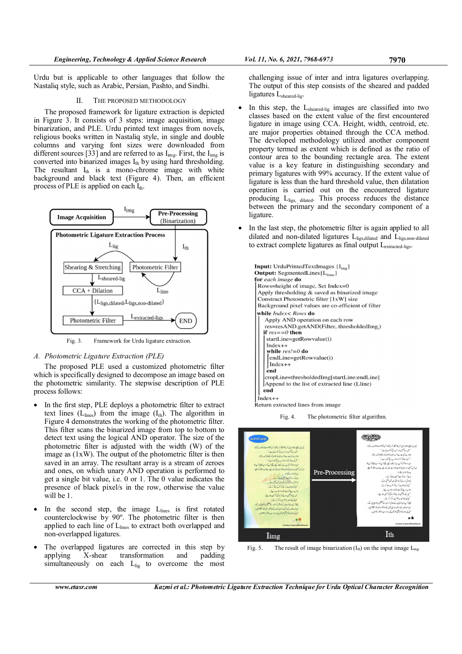Urdu but is applicable to other languages that follow the Nastaliq style, such as Arabic, Persian, Pashto, and Sindhi.

## II. THE PROPOSED METHODOLOGY

The proposed framework for ligature extraction is depicted in Figure 3. It consists of 3 steps: image acquisition, image binarization, and PLE. Urdu printed text images from novels, religious books written in Nastaliq style, in single and double columns and varying font sizes were downloaded from different sources [33] and are referred to as  $I_{img}$ . First, the  $I_{img}$  is converted into binarized images  $I_{th}$  by using hard thresholding. The resultant  $I_{th}$  is a mono-chrome image with white background and black text (Figure 4). Then, an efficient process of PLE is applied on each  $I_{th}$ .



Fig. 3. Framework for Urdu ligature extraction.

# A. Photometric Ligature Extraction (PLE)

The proposed PLE used a customized photometric filter which is specifically designed to decompose an image based on the photometric similarity. The stepwise description of PLE process follows:

- In the first step, PLE deploys a photometric filter to extract text lines  $(L<sub>lines</sub>)$  from the image  $(I<sub>th</sub>)$ . The algorithm in Figure 4 demonstrates the working of the photometric filter. This filter scans the binarized image from top to bottom to detect text using the logical AND operator. The size of the photometric filter is adjusted with the width (W) of the image as (1xW). The output of the photometric filter is then saved in an array. The resultant array is a stream of zeroes and ones, on which unary AND operation is performed to get a single bit value, i.e. 0 or 1. The 0 value indicates the presence of black pixel/s in the row, otherwise the value will be 1.
- In the second step, the image  $L<sub>lines</sub>$  is first rotated counterclockwise by 90º. The photometric filter is then applied to each line of L<sub>lines</sub> to extract both overlapped and non-overlapped ligatures.
- The overlapped ligatures are corrected in this step by applying X-shear transformation and padding simultaneously on each  $L_{\text{lig}}$  to overcome the most

challenging issue of inter and intra ligatures overlapping. The output of this step consists of the sheared and padded ligatures L<sub>sheared-lig</sub>.

- In this step, the L<sub>sheared-lig</sub> images are classified into two classes based on the extent value of the first encountered ligature in image using CCA. Height, width, centroid, etc. are major properties obtained through the CCA method. The developed methodology utilized another component property termed as extent which is defined as the ratio of contour area to the bounding rectangle area. The extent value is a key feature in distinguishing secondary and primary ligatures with 99% accuracy. If the extent value of ligature is less than the hard threshold value, then dilatation operation is carried out on the encountered ligature producing Ligs, dilated. This process reduces the distance between the primary and the secondary component of a ligature.
- In the last step, the photometric filter is again applied to all dilated and non-dilated ligatures Lligs, dilated and Lligs, non-dilated to extract complete ligatures as final output Lextracted-ligs.

| <b>Input:</b> UrduPrintedTextImages $\{I_{\text{img}}\}$<br><b>Output:</b> SegmentedLines $\{L_{\text{lines}}\}$ |  |  |  |  |  |  |  |
|------------------------------------------------------------------------------------------------------------------|--|--|--|--|--|--|--|
| for each image do                                                                                                |  |  |  |  |  |  |  |
| Rows=height of image, Set Index=0                                                                                |  |  |  |  |  |  |  |
| Apply thresholding & saved as binarized image                                                                    |  |  |  |  |  |  |  |
| Construct Photometric filter [1xW] size                                                                          |  |  |  |  |  |  |  |
| Background pixel values are co-efficient of filter                                                               |  |  |  |  |  |  |  |
| while $Index <$ Rows do                                                                                          |  |  |  |  |  |  |  |
| Apply AND operation on each row                                                                                  |  |  |  |  |  |  |  |
| res=resAND.getAND(Filter, thresholdedImg,)                                                                       |  |  |  |  |  |  |  |
| if $res = 0$ then                                                                                                |  |  |  |  |  |  |  |
| $startLine = getRowvalue(i)$                                                                                     |  |  |  |  |  |  |  |
| $Index++$                                                                                                        |  |  |  |  |  |  |  |
| while $res!=0$ do                                                                                                |  |  |  |  |  |  |  |
| $endLine = getRowvalue(i)$                                                                                       |  |  |  |  |  |  |  |
| $Index++$                                                                                                        |  |  |  |  |  |  |  |
| end                                                                                                              |  |  |  |  |  |  |  |
| cropLine=thresholdedImg[startLine:endLine]                                                                       |  |  |  |  |  |  |  |
| Append to the list of extracted line (Lline)                                                                     |  |  |  |  |  |  |  |
| end                                                                                                              |  |  |  |  |  |  |  |
| $Index++$                                                                                                        |  |  |  |  |  |  |  |
| Return extracted lines from image.                                                                               |  |  |  |  |  |  |  |

Fig. 4. The photometric filter algorithm.



Fig. 5. The result of image binarization  $(I_{th})$  on the input image  $I_{img}$ .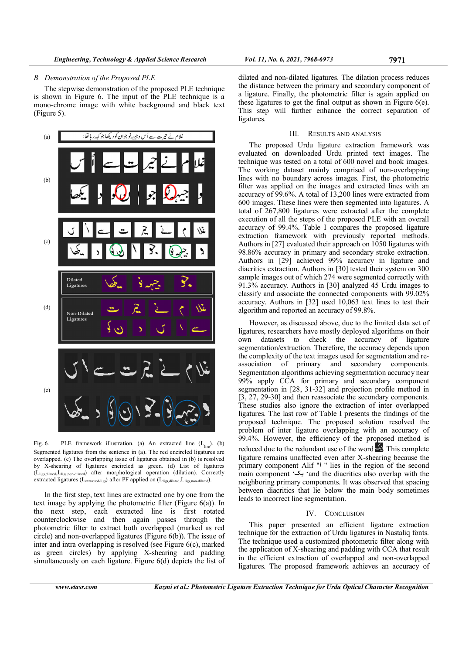#### B. Demonstration of the Proposed PLE

The stepwise demonstration of the proposed PLE technique is shown in Figure 6. The input of the PLE technique is a mono-chrome image with white background and black text (Figure 5).



Fig. 6. PLE framework illustration. (a) An extracted line  $(L_{\text{line}})$ . (b) Segmented ligatures from the sentence in (a). The red encircled ligatures are overlapped. (c) The overlapping issue of ligatures obtained in (b) is resolved by X-shearing of ligatures encircled as green. (d) List of ligatures (Lligs,dilated,Lligs,non-dilated) after morphological operation (dilation). Correctly extracted ligatures ( $L_{\text{extracted-ligs}}$ ) after PF applied on ( $L_{\text{lig},\text{dilated}}$ , $L_{\text{lig},\text{non-dilated}}$ ).

In the first step, text lines are extracted one by one from the text image by applying the photometric filter (Figure 6(a)). In the next step, each extracted line is first rotated counterclockwise and then again passes through the photometric filter to extract both overlapped (marked as red circle) and non-overlapped ligatures (Figure 6(b)). The issue of inter and intra overlapping is resolved (see Figure 6(c), marked as green circles) by applying X-shearing and padding simultaneously on each ligature. Figure 6(d) depicts the list of

dilated and non-dilated ligatures. The dilation process reduces the distance between the primary and secondary component of a ligature. Finally, the photometric filter is again applied on these ligatures to get the final output as shown in Figure 6(e). This step will further enhance the correct separation of ligatures.

## III. RESULTS AND ANALYSIS

The proposed Urdu ligature extraction framework was evaluated on downloaded Urdu printed text images. The technique was tested on a total of 600 novel and book images. The working dataset mainly comprised of non-overlapping lines with no boundary across images. First, the photometric filter was applied on the images and extracted lines with an accuracy of 99.6%. A total of 13,200 lines were extracted from 600 images. These lines were then segmented into ligatures. A total of 267,800 ligatures were extracted after the complete execution of all the steps of the proposed PLE with an overall accuracy of 99.4%. Table I compares the proposed ligature extraction framework with previously reported methods. Authors in [27] evaluated their approach on 1050 ligatures with 98.86% accuracy in primary and secondary stroke extraction. Authors in [29] achieved 99% accuracy in ligature and diacritics extraction. Authors in [30] tested their system on 300 sample images out of which 274 were segmented correctly with 91.3% accuracy. Authors in [30] analyzed 45 Urdu images to classify and associate the connected components with 99.02% accuracy. Authors in [32] used 10,063 text lines to test their algorithm and reported an accuracy of 99.8%.

However, as discussed above, due to the limited data set of ligatures, researchers have mostly deployed algorithms on their own datasets to check the accuracy of ligature segmentation/extraction. Therefore, the accuracy depends upon the complexity of the text images used for segmentation and reassociation of primary and secondary components. Segmentation algorithms achieving segmentation accuracy near 99% apply CCA for primary and secondary component segmentation in [28, 31-32] and projection profile method in [3, 27, 29-30] and then reassociate the secondary components. These studies also ignore the extraction of inter overlapped ligatures. The last row of Table I presents the findings of the proposed technique. The proposed solution resolved the problem of inter ligature overlapping with an accuracy of 99.4%. However, the efficiency of the proposed method is reduced due to the redundant use of the word . This complete ligature remains unaffected even after X-shearing because the primary component Alif " | " lies in the region of the second main component 'يک' and the diacritics also overlap with the neighboring primary components. It was observed that spacing between diacritics that lie below the main body sometimes leads to incorrect line segmentation.

#### IV. CONCLUSION

This paper presented an efficient ligature extraction technique for the extraction of Urdu ligatures in Nastaliq fonts. The technique used a customized photometric filter along with the application of X-shearing and padding with CCA that result in the efficient extraction of overlapped and non-overlapped ligatures. The proposed framework achieves an accuracy of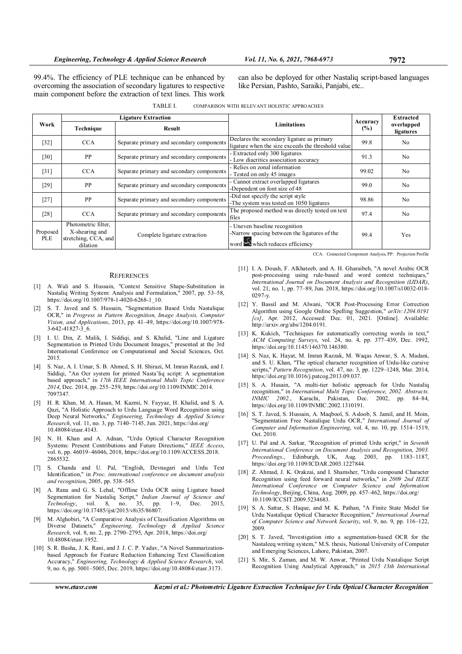99.4%. The efficiency of PLE technique can be enhanced by overcoming the association of secondary ligatures to respective main component before the extraction of text lines. This work can also be deployed for other Nastaliq script-based languages like Persian, Pashto, Saraiki, Panjabi, etc..

| TABLE I. |  | COMPARISON WITH RELEVANT HOLISTIC APPROACHES |  |
|----------|--|----------------------------------------------|--|
|          |  |                                              |  |

| Work                   | <b>Ligature Extraction</b>                                                |                                           |                                                                                                                             |                    | <b>Extracted</b>        |
|------------------------|---------------------------------------------------------------------------|-------------------------------------------|-----------------------------------------------------------------------------------------------------------------------------|--------------------|-------------------------|
|                        | Technique                                                                 | <b>Result</b>                             | <b>Limitations</b>                                                                                                          | Accuracy<br>$($ %) | overlapped<br>ligatures |
| $[32]$                 | <b>CCA</b>                                                                | Separate primary and secondary components | Declares the secondary ligature as primary<br>ligature when the size exceeds the threshold value                            | 99.8               | No                      |
| [30]                   | PP                                                                        | Separate primary and secondary components | - Extracted only 300 ligatures<br>- Low diacritics association accuracy                                                     | 91.3               | No                      |
| [31]                   | <b>CCA</b>                                                                | Separate primary and secondary components | - Relies on zonal information<br>- Tested on only 45 images                                                                 | 99.02              | N <sub>0</sub>          |
| [29]                   | PP                                                                        | Separate primary and secondary components | - Cannot extract overlapped ligatures<br>-Dependent on font size of 48                                                      | 99.0               | No                      |
| $[27]$                 | PP                                                                        | Separate primary and secondary components | -Did not specify the script style<br>-The system was tested on 1050 ligatures                                               | 98.86              | N <sub>0</sub>          |
| [28]                   | <b>CCA</b>                                                                | Separate primary and secondary components | The proposed method was directly tested on text<br>files                                                                    | 97.4               | N <sub>0</sub>          |
| Proposed<br><b>PLE</b> | Photometric filter,<br>X-shearing and<br>stretching, CCA, and<br>dilation | Complete ligature extraction              | - Uneven baseline recognition<br>-Narrow spacing between the ligatures of the<br>word $\mathbf{Q}$ which reduces efficiency | 99.4               | Yes                     |

**REFERENCES** 

- [1] A. Wali and S. Hussain, "Context Sensitive Shape-Substitution in Nastaliq Writing System: Analysis and Formulation," 2007, pp. 53–58, https://doi.org/10.1007/978-1-4020-6268-1\_10.
- [2] S. T. Javed and S. Hussain, "Segmentation Based Urdu Nastalique OCR," in Progress in Pattern Recognition, Image Analysis, Computer Vision, and Applications, 2013, pp. 41–49, https://doi.org/10.1007/978- 3-642-41827-3\_6.
- [3] I. U. Din, Z. Malik, I. Siddiqi, and S. Khalid, "Line and Ligature Segmentation in Printed Urdu Document Images," presented at the 3rd International Conference on Computational and Social Sciences, Oct. 2015.
- [4] S. Naz, A. I. Umar, S. B. Ahmed, S. H. Shirazi, M. Imran Razzak, and I. Siddiqi, "An Ocr system for printed Nasta'liq script: A segmentation based approach," in 17th IEEE International Multi Topic Conference 2014, Dec. 2014, pp. 255–259, https://doi.org/10.1109/INMIC.2014. 7097347.
- [5] H. R. Khan, M. A. Hasan, M. Kazmi, N. Fayyaz, H. Khalid, and S. A. Qazi, "A Holistic Approach to Urdu Language Word Recognition using Deep Neural Networks," Engineering, Technology & Applied Science Research, vol. 11, no. 3, pp. 7140–7145, Jun. 2021, https://doi.org/ 10.48084/etasr.4143.
- [6] N. H. Khan and A. Adnan, "Urdu Optical Character Recognition Systems: Present Contributions and Future Directions," IEEE Access, vol. 6, pp. 46019–46046, 2018, https://doi.org/10.1109/ACCESS.2018. 2865532.
- [7] S. Chanda and U. Pal, "English, Devnagari and Urdu Text Identification," in Proc. international conference on document analysis and recognition, 2005, pp. 538–545.
- A. Rana and G. S. Lehal, "Offline Urdu OCR using Ligature based Segmentation for Nastaliq Script," Indian Journal of Science and Technology, vol. 8, no. 35, pp. 1–9, Dec. 2015, https://doi.org/10.17485/ijst/2015/v8i35/86807.
- [9] M. Alghobiri, "A Comparative Analysis of Classification Algorithms on Diverse Datasets," Engineering, Technology & Applied Science Research, vol. 8, no. 2, pp. 2790–2795, Apr. 2018, https://doi.org/ 10.48084/etasr.1952.
- [10] S. R. Basha, J. K. Rani, and J. J. C. P. Yadav, "A Novel Summarizationbased Approach for Feature Reduction Enhancing Text Classification Accuracy," Engineering, Technology & Applied Science Research, vol. 9, no. 6, pp. 5001–5005, Dec. 2019, https://doi.org/10.48084/etasr.3173.

CCA: Connected Component Analysis, PP: Projection Profile

- [11] I. A. Doush, F. Alkhateeb, and A. H. Gharaibeh, "A novel Arabic OCR post-processing using rule-based and word context techniques," International Journal on Document Analysis and Recognition (IJDAR), vol. 21, no. 1, pp. 77–89, Jun. 2018, https://doi.org/10.1007/s10032-018- 0297-y.
- [12] Y. Bassil and M. Alwani, "OCR Post-Processing Error Correction Algorithm using Google Online Spelling Suggestion," arXiv:1204.0191 [cs], Apr. 2012, Accessed: Dec. 01, 2021. [Online]. Available: http://arxiv.org/abs/1204.0191.
- [13] K. Kukich, "Techniques for automatically correcting words in text," ACM Computing Surveys, vol. 24, no. 4, pp. 377–439, Dec. 1992, https://doi.org/10.1145/146370.146380.
- [14] S. Naz, K. Hayat, M. Imran Razzak, M. Waqas Anwar, S. A. Madani, and S. U. Khan, "The optical character recognition of Urdu-like cursive scripts," Pattern Recognition, vol. 47, no. 3, pp. 1229–1248, Mar. 2014, https://doi.org/10.1016/j.patcog.2013.09.037.
- [15] S. A. Husain, "A multi-tier holistic approach for Urdu Nastaliq recognition," in International Multi Topic Conference, 2002. Abstracts.<br>INMIC 2002., Karachi, Pakistan, Dec. 2002, pp. 84-84, Karachi, Pakistan, Dec. https://doi.org/10.1109/INMIC.2002.1310191.
- [16] S. T. Javed, S. Hussain, A. Maqbool, S. Asloob, S. Jamil, and H. Moin, "Segmentation Free Nastalique Urdu OCR," International Journal of Computer and Information Engineering, vol. 4, no. 10, pp. 1514–1519, Oct. 2010.
- [17] U. Pal and A. Sarkar, "Recognition of printed Urdu script," in Seventh International Conference on Document Analysis and Recognition, 2003. Proceedings., Edinburgh, UK, Aug. 2003, pp. 1183–1187, https://doi.org/10.1109/ICDAR.2003.1227844.
- [18] Z. Ahmad, J. K. Orakzai, and I. Shamsher, "Urdu compound Character Recognition using feed forward neural networks," in 2009 2nd IEEE International Conference on Computer Science and Information Technology, Beijing, China, Aug. 2009, pp. 457–462, https://doi.org/ 10.1109/ICCSIT.2009.5234683.
- [19] S. A. Sattar, S. Haque, and M. K. Pathan, "A Finite State Model for Urdu Nastalique Optical Character Recognition," International Journal of Computer Science and Network Security, vol. 9, no. 9, pp. 116–122, 2009.
- [20] S. T. Javed, "Investigation into a segmentation-based OCR for the Nastaleeq writing system," M.S. thesis, National University of Computer and Emerging Sciences, Lahore, Pakistan, 2007.
- [21] S. Mir, S. Zaman, and M. W. Anwar, "Printed Urdu Nastalique Script Recognition Using Analytical Approach," in 2015 13th International